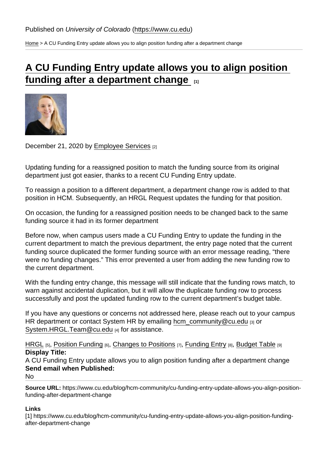[Home](https://www.cu.edu/) > A CU Funding Entry update allows you to align position funding after a department change

## [A CU Funding Entry update allows you to align position](https://www.cu.edu/blog/hcm-community/cu-funding-entry-update-allows-you-align-position-funding-after-department-change)  [funding after a department change](https://www.cu.edu/blog/hcm-community/cu-funding-entry-update-allows-you-align-position-funding-after-department-change)  $\frac{1}{1}$

December 21, 2020 by [Employee Services](https://www.cu.edu/blog/hcm-community/author/34887) [2]

Updating funding for a reassigned position to match the funding source from its original department just got easier, thanks to a recent CU Funding Entry update.

To reassign a position to a different department, a department change row is added to that position in HCM. Subsequently, an HRGL Request updates the funding for that position.

On occasion, the funding for a reassigned position needs to be changed back to the same funding source it had in its former department

Before now, when campus users made a CU Funding Entry to update the funding in the current department to match the previous department, the entry page noted that the current funding source duplicated the former funding source with an error message reading, "there were no funding changes." This error prevented a user from adding the new funding row to the current department.

With the funding entry change, this message will still indicate that the funding rows match, to warn against accidental duplication, but it will allow the duplicate funding row to process successfully and post the updated funding row to the current department's budget table.

If you have any questions or concerns not addressed here, please reach out to your campus HR department or contact System HR by emailing [hcm\\_community@cu.edu](mailto:hcm_community@cu.edu) [3] or [System.HRGL.Team@cu.edu](mailto:System.HRGL.Team@cu.edu) [4] for assistance.

[HRGL](https://www.cu.edu/blog/hcm-community/tag/hrgl) [5], [Position Funding](https://www.cu.edu/blog/hcm-community/tag/position-funding) [6], [Changes to Positions](https://www.cu.edu/blog/hcm-community/tag/changes-to-positions) [7], [Funding Entry](https://www.cu.edu/blog/hcm-community/tag/funding-entry) [8], [Budget Table](https://www.cu.edu/blog/hcm-community/tag/budget-table) [9] Display Title:

A CU Funding Entry update allows you to align position funding after a department change Send email when Published:

No

Source URL: https://www.cu.edu/blog/hcm-community/cu-funding-entry-update-allows-you-align-positionfunding-after-department-change

Links

[1] https://www.cu.edu/blog/hcm-community/cu-funding-entry-update-allows-you-align-position-fundingafter-department-change